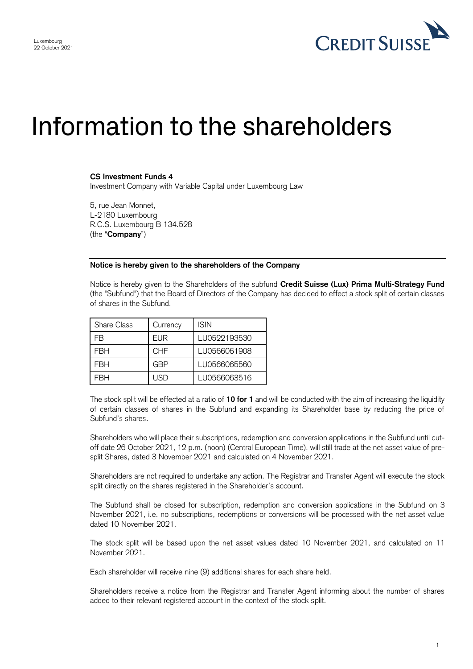

## Information to the shareholders

## **CS Investment Funds 4**

Investment Company with Variable Capital under Luxembourg Law

5, rue Jean Monnet, L-2180 Luxembourg R.C.S. Luxembourg B 134.528 (the "**Company**")

## **Notice is hereby given to the shareholders of the Company**

Notice is hereby given to the Shareholders of the subfund **Credit Suisse (Lux) Prima Multi-Strategy Fund** (the "Subfund") that the Board of Directors of the Company has decided to effect a stock split of certain classes of shares in the Subfund.

| <b>Share Class</b> | Currency   | <b>ISIN</b>  |
|--------------------|------------|--------------|
| FB                 | EUR        | LU0522193530 |
| FRH                | <b>CHF</b> | LU0566061908 |
| FRH                | GBP        | LU0566065560 |
| =RH                | USD        | LU0566063516 |

The stock split will be effected at a ratio of **10 for 1** and will be conducted with the aim of increasing the liquidity of certain classes of shares in the Subfund and expanding its Shareholder base by reducing the price of Subfund's shares.

Shareholders who will place their subscriptions, redemption and conversion applications in the Subfund until cutoff date 26 October 2021, 12 p.m. (noon) (Central European Time), will still trade at the net asset value of presplit Shares, dated 3 November 2021 and calculated on 4 November 2021.

Shareholders are not required to undertake any action. The Registrar and Transfer Agent will execute the stock split directly on the shares registered in the Shareholder's account.

The Subfund shall be closed for subscription, redemption and conversion applications in the Subfund on 3 November 2021, i.e. no subscriptions, redemptions or conversions will be processed with the net asset value dated 10 November 2021.

The stock split will be based upon the net asset values dated 10 November 2021, and calculated on 11 November 2021.

Each shareholder will receive nine (9) additional shares for each share held.

Shareholders receive a notice from the Registrar and Transfer Agent informing about the number of shares added to their relevant registered account in the context of the stock split.